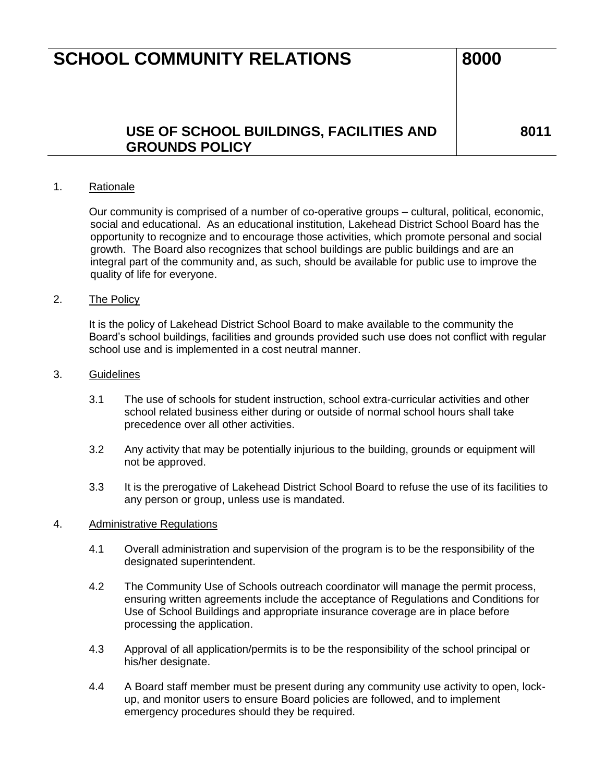## **SCHOOL COMMUNITY RELATIONS** 8000

### **USE OF SCHOOL BUILDINGS, FACILITIES AND GROUNDS POLICY**

**8011**

#### 1. Rationale

Our community is comprised of a number of co-operative groups – cultural, political, economic, social and educational. As an educational institution, Lakehead District School Board has the opportunity to recognize and to encourage those activities, which promote personal and social growth. The Board also recognizes that school buildings are public buildings and are an integral part of the community and, as such, should be available for public use to improve the quality of life for everyone.

#### 2. The Policy

It is the policy of Lakehead District School Board to make available to the community the Board's school buildings, facilities and grounds provided such use does not conflict with regular school use and is implemented in a cost neutral manner.

#### 3. Guidelines

- 3.1 The use of schools for student instruction, school extra-curricular activities and other school related business either during or outside of normal school hours shall take precedence over all other activities.
- 3.2 Any activity that may be potentially injurious to the building, grounds or equipment will not be approved.
- 3.3 It is the prerogative of Lakehead District School Board to refuse the use of its facilities to any person or group, unless use is mandated.

#### 4. Administrative Regulations

- 4.1 Overall administration and supervision of the program is to be the responsibility of the designated superintendent.
- 4.2 The Community Use of Schools outreach coordinator will manage the permit process, ensuring written agreements include the acceptance of Regulations and Conditions for Use of School Buildings and appropriate insurance coverage are in place before processing the application.
- 4.3 Approval of all application/permits is to be the responsibility of the school principal or his/her designate.
- 4.4 A Board staff member must be present during any community use activity to open, lockup, and monitor users to ensure Board policies are followed, and to implement emergency procedures should they be required.